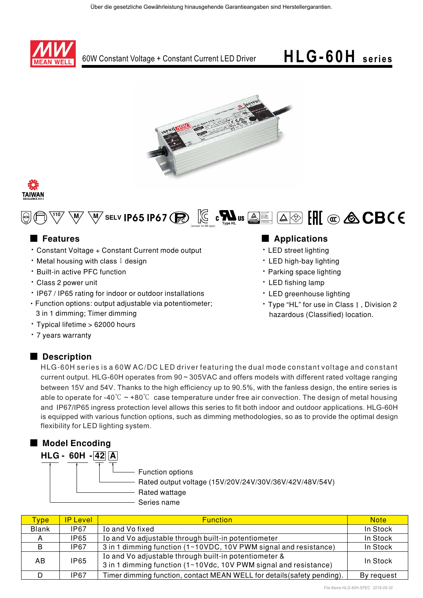







## ■ **Features**

- Constant Voltage + Constant Current mode output
- $\cdot$  Metal housing with class I design
- · Built-in active PFC function
- · Class 2 power unit
- IP67 / IP65 rating for indoor or outdoor installations
- Function options: output adjustable via potentiometer; 3 in 1 dimming; Timer dimming
- Typical lifetime > 62000 hours
- 7 years warranty

### ■ Description

### 

- LED street lighting
- $\cdot$  LED high-bay lighting
- Parking space lighting
- LED fishing lamp
- LED greenhouse lighting
- Type "HL" for use in Class I, Division 2 hazardous (Classified) location.

HLG-60H series is a 60W AC/DC LED driver featuring the dual mode constant voltage and constant current output. HLG-60H operates from  $90 \sim 305$ VAC and offers models with different rated voltage ranging between 15V and 54V. Thanks to the high efficiency up to 90.5%, with the fanless design, the entire series is able to operate for -40 $\degree$ C  $\sim$  +80 $\degree$ C case temperature under free air convection. The design of metal housing and IP67/IP65 ingress protection level allows this series to fit both indoor and outdoor applications. HLG-60H is equipped with various function options, such as dimming methodologies, so as to provide the optimal design flexibility for LED lighting system.



| Type:        | <b>IP Level</b> | <b>Function</b>                                                                                                           | <b>Note</b> |
|--------------|-----------------|---------------------------------------------------------------------------------------------------------------------------|-------------|
| <b>Blank</b> | <b>IP67</b>     | Io and Vo fixed                                                                                                           | In Stock    |
|              | <b>IP65</b>     | Io and Vo adjustable through built-in potentiometer                                                                       | In Stock    |
| B            | <b>IP67</b>     | 3 in 1 dimming function (1~10VDC, 10V PWM signal and resistance)                                                          | In Stock    |
| AB           | <b>IP65</b>     | Io and Vo adjustable through built-in potentiometer &<br>3 in 1 dimming function (1~10Vdc, 10V PWM signal and resistance) | In Stock    |
|              | IP67            | Timer dimming function, contact MEAN WELL for details (safety pending).                                                   | By request  |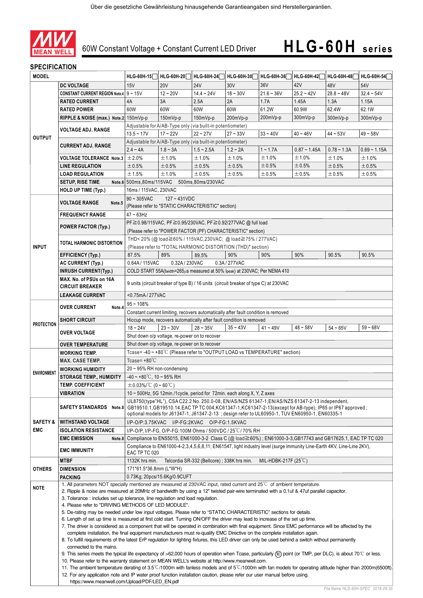

## **SPECIFICATION**

| <b>MODEL</b>                      |                                                                                                                                                                                                                                                                                                                                                                                                                                                                                                                                                                                                                |                                                                                                                                                                                                                                                                                                               | HLG-60H-15 HLG-60H-20 HLG-60H-24 HLG-60H-30                                        |                                            |             |                                | HLG-60H-36 HLG-60H-42 HLG-60H-48 |                                                | HLG-60H-54     |  |  |  |  |  |  |  |  |
|-----------------------------------|----------------------------------------------------------------------------------------------------------------------------------------------------------------------------------------------------------------------------------------------------------------------------------------------------------------------------------------------------------------------------------------------------------------------------------------------------------------------------------------------------------------------------------------------------------------------------------------------------------------|---------------------------------------------------------------------------------------------------------------------------------------------------------------------------------------------------------------------------------------------------------------------------------------------------------------|------------------------------------------------------------------------------------|--------------------------------------------|-------------|--------------------------------|----------------------------------|------------------------------------------------|----------------|--|--|--|--|--|--|--|--|
|                                   | <b>DC VOLTAGE</b>                                                                                                                                                                                                                                                                                                                                                                                                                                                                                                                                                                                              | 15V                                                                                                                                                                                                                                                                                                           | <b>20V</b>                                                                         | <b>24V</b>                                 | 30V         | 36V                            | 42V                              | 48V                                            | 54V            |  |  |  |  |  |  |  |  |
| <b>OUTPUT</b>                     | <b>CONSTANT CURRENT REGION Note.4 9 ~ 15V</b>                                                                                                                                                                                                                                                                                                                                                                                                                                                                                                                                                                  |                                                                                                                                                                                                                                                                                                               | $12 - 20V$                                                                         | $14.4 - 24V$                               | $18 - 30V$  | $21.6 - 36V$                   | $25.2 - 42V$                     | $28.8 - 48V$                                   | $32.4 - 54V$   |  |  |  |  |  |  |  |  |
|                                   | <b>RATED CURRENT</b>                                                                                                                                                                                                                                                                                                                                                                                                                                                                                                                                                                                           | 4A                                                                                                                                                                                                                                                                                                            | 3A                                                                                 | 2.5A                                       | 2A          | 1.7A                           | 1.45A                            | 1.3A                                           | 1.15A          |  |  |  |  |  |  |  |  |
|                                   | <b>RATED POWER</b>                                                                                                                                                                                                                                                                                                                                                                                                                                                                                                                                                                                             | 60W                                                                                                                                                                                                                                                                                                           | 60W                                                                                | 60W                                        | 60W         | 61.2W                          | 60.9W                            | 62.4W                                          | 62.1W          |  |  |  |  |  |  |  |  |
|                                   | RIPPLE & NOISE (max.) Note.2 150mVp-p                                                                                                                                                                                                                                                                                                                                                                                                                                                                                                                                                                          |                                                                                                                                                                                                                                                                                                               | 150mVp-p                                                                           | $150mVp-p$                                 | 200mVp-p    | 200mVp-p                       | 300mVp-p                         | $300mVp-p$                                     | 300mVp-p       |  |  |  |  |  |  |  |  |
|                                   |                                                                                                                                                                                                                                                                                                                                                                                                                                                                                                                                                                                                                |                                                                                                                                                                                                                                                                                                               |                                                                                    |                                            |             |                                |                                  |                                                |                |  |  |  |  |  |  |  |  |
|                                   | VOLTAGE ADJ. RANGE                                                                                                                                                                                                                                                                                                                                                                                                                                                                                                                                                                                             | Adjustable for A/AB-Type only (via built-in potentiometer)<br>$13.5 - 17V$<br>$17 - 22V$<br>$22 - 27V$<br>$33 - 40V$<br>$40 - 46V$<br>$27 - 33V$<br>$44 - 53V$<br>$49 - 58V$                                                                                                                                  |                                                                                    |                                            |             |                                |                                  |                                                |                |  |  |  |  |  |  |  |  |
|                                   |                                                                                                                                                                                                                                                                                                                                                                                                                                                                                                                                                                                                                | Adjustable for A/AB-Type only (via built-in potentiometer)                                                                                                                                                                                                                                                    |                                                                                    |                                            |             |                                |                                  |                                                |                |  |  |  |  |  |  |  |  |
|                                   | <b>CURRENT ADJ. RANGE</b>                                                                                                                                                                                                                                                                                                                                                                                                                                                                                                                                                                                      | $2.4 - 4A$                                                                                                                                                                                                                                                                                                    | $1.8 - 3A$                                                                         | $1.5 - 2.5A$                               | $1.2 - 2A$  | $1 - 1.7A$                     | $0.87 - 1.45A$                   | $0.78 - 1.3A$                                  | $0.69 - 1.15A$ |  |  |  |  |  |  |  |  |
|                                   | <b>VOLTAGE TOLERANCE Note.3</b>                                                                                                                                                                                                                                                                                                                                                                                                                                                                                                                                                                                | ±2.0%                                                                                                                                                                                                                                                                                                         | ±1.0%                                                                              | ±1.0%                                      | ±1.0%       | ±1.0%                          | ±1.0%                            | ±1.0%                                          | ±1.0%          |  |  |  |  |  |  |  |  |
|                                   | <b>LINE REGULATION</b>                                                                                                                                                                                                                                                                                                                                                                                                                                                                                                                                                                                         | ±0.5%                                                                                                                                                                                                                                                                                                         | ±0.5%                                                                              | ±0.5%                                      | ±0.5%       | ±0.5%                          | $\pm 0.5\%$                      | $\pm 0.5\%$                                    | ±0.5%          |  |  |  |  |  |  |  |  |
|                                   | <b>LOAD REGULATION</b>                                                                                                                                                                                                                                                                                                                                                                                                                                                                                                                                                                                         | ±1.5%                                                                                                                                                                                                                                                                                                         | ±1.0%                                                                              | $\pm 0.5\%$                                | ±0.5%       | $\pm$ 0.5%                     | ±0.5%                            | $\pm$ 0.5%                                     | ±0.5%          |  |  |  |  |  |  |  |  |
|                                   | <b>SETUP, RISE TIME</b>                                                                                                                                                                                                                                                                                                                                                                                                                                                                                                                                                                                        | Note.6 500ms, 80ms/115VAC 500ms, 80ms/230VAC                                                                                                                                                                                                                                                                  |                                                                                    |                                            |             |                                |                                  |                                                |                |  |  |  |  |  |  |  |  |
|                                   | <b>HOLD UP TIME (Typ.)</b>                                                                                                                                                                                                                                                                                                                                                                                                                                                                                                                                                                                     | 16ms / 115VAC, 230VAC                                                                                                                                                                                                                                                                                         |                                                                                    |                                            |             |                                |                                  |                                                |                |  |  |  |  |  |  |  |  |
|                                   |                                                                                                                                                                                                                                                                                                                                                                                                                                                                                                                                                                                                                | $90 - 305$ VAC<br>$127 - 431VDC$                                                                                                                                                                                                                                                                              |                                                                                    |                                            |             |                                |                                  |                                                |                |  |  |  |  |  |  |  |  |
|                                   | VOLTAGE RANGE<br>Note.5                                                                                                                                                                                                                                                                                                                                                                                                                                                                                                                                                                                        | (Please refer to "STATIC CHARACTERISTIC" section)                                                                                                                                                                                                                                                             |                                                                                    |                                            |             |                                |                                  |                                                |                |  |  |  |  |  |  |  |  |
|                                   | <b>FREQUENCY RANGE</b>                                                                                                                                                                                                                                                                                                                                                                                                                                                                                                                                                                                         | $47 \sim 63$ Hz                                                                                                                                                                                                                                                                                               |                                                                                    |                                            |             |                                |                                  |                                                |                |  |  |  |  |  |  |  |  |
|                                   |                                                                                                                                                                                                                                                                                                                                                                                                                                                                                                                                                                                                                | PF ≥ 0.98/115VAC, PF ≥ 0.95/230VAC, PF ≥ 0.92/277VAC @ full load                                                                                                                                                                                                                                              |                                                                                    |                                            |             |                                |                                  |                                                |                |  |  |  |  |  |  |  |  |
|                                   | <b>POWER FACTOR (Typ.)</b>                                                                                                                                                                                                                                                                                                                                                                                                                                                                                                                                                                                     |                                                                                                                                                                                                                                                                                                               | (Please refer to "POWER FACTOR (PF) CHARACTERISTIC" section)                       |                                            |             |                                |                                  |                                                |                |  |  |  |  |  |  |  |  |
|                                   |                                                                                                                                                                                                                                                                                                                                                                                                                                                                                                                                                                                                                |                                                                                                                                                                                                                                                                                                               | THD<20% (@ load≧60% / 115VAC,230VAC; @ load≧75% / 277VAC)                          |                                            |             |                                |                                  |                                                |                |  |  |  |  |  |  |  |  |
| <b>INPUT</b>                      | <b>TOTAL HARMONIC DISTORTION</b>                                                                                                                                                                                                                                                                                                                                                                                                                                                                                                                                                                               |                                                                                                                                                                                                                                                                                                               | (Please refer to "TOTAL HARMONIC DISTORTION (THD)" section)                        |                                            |             |                                |                                  |                                                |                |  |  |  |  |  |  |  |  |
|                                   | <b>EFFICIENCY (Typ.)</b>                                                                                                                                                                                                                                                                                                                                                                                                                                                                                                                                                                                       | 87.5%                                                                                                                                                                                                                                                                                                         | 89%                                                                                | 89.5%                                      | 90%         | 90%                            | 90%                              | 90.5%                                          | 90.5%          |  |  |  |  |  |  |  |  |
|                                   | <b>AC CURRENT (Typ.)</b>                                                                                                                                                                                                                                                                                                                                                                                                                                                                                                                                                                                       | 0.64A / 115VAC                                                                                                                                                                                                                                                                                                | 0.32A / 230VAC                                                                     |                                            | 0.3A/277VAC |                                |                                  |                                                |                |  |  |  |  |  |  |  |  |
|                                   | <b>INRUSH CURRENT(Typ.)</b>                                                                                                                                                                                                                                                                                                                                                                                                                                                                                                                                                                                    |                                                                                                                                                                                                                                                                                                               | COLD START 55A(twidth=265µs measured at 50% Ipeak) at 230VAC; Per NEMA 410         |                                            |             |                                |                                  |                                                |                |  |  |  |  |  |  |  |  |
|                                   | MAX. No. of PSUs on 16A                                                                                                                                                                                                                                                                                                                                                                                                                                                                                                                                                                                        |                                                                                                                                                                                                                                                                                                               |                                                                                    |                                            |             |                                |                                  |                                                |                |  |  |  |  |  |  |  |  |
|                                   | <b>CIRCUIT BREAKER</b>                                                                                                                                                                                                                                                                                                                                                                                                                                                                                                                                                                                         | 9 units (circuit breaker of type B) / 16 units (circuit breaker of type C) at 230VAC                                                                                                                                                                                                                          |                                                                                    |                                            |             |                                |                                  |                                                |                |  |  |  |  |  |  |  |  |
|                                   | <b>LEAKAGE CURRENT</b>                                                                                                                                                                                                                                                                                                                                                                                                                                                                                                                                                                                         | <0.75mA / 277VAC                                                                                                                                                                                                                                                                                              |                                                                                    |                                            |             |                                |                                  |                                                |                |  |  |  |  |  |  |  |  |
|                                   | <b>OVER CURRENT</b><br>Note.4                                                                                                                                                                                                                                                                                                                                                                                                                                                                                                                                                                                  | $95 - 108%$                                                                                                                                                                                                                                                                                                   |                                                                                    |                                            |             |                                |                                  |                                                |                |  |  |  |  |  |  |  |  |
| <b>PROTECTION</b>                 |                                                                                                                                                                                                                                                                                                                                                                                                                                                                                                                                                                                                                |                                                                                                                                                                                                                                                                                                               | Constant current limiting, recovers automatically after fault condition is removed |                                            |             |                                |                                  |                                                |                |  |  |  |  |  |  |  |  |
|                                   | <b>SHORT CIRCUIT</b>                                                                                                                                                                                                                                                                                                                                                                                                                                                                                                                                                                                           |                                                                                                                                                                                                                                                                                                               | Hiccup mode, recovers automatically after fault condition is removed               |                                            |             |                                |                                  |                                                |                |  |  |  |  |  |  |  |  |
|                                   |                                                                                                                                                                                                                                                                                                                                                                                                                                                                                                                                                                                                                | $18 - 24V$                                                                                                                                                                                                                                                                                                    | $23 - 30V$                                                                         | $28 - 35V$                                 | $35 - 43V$  | $41 - 49V$                     | $48 - 58V$                       | $54 - 65V$                                     | $59 - 68V$     |  |  |  |  |  |  |  |  |
|                                   | <b>OVER VOLTAGE</b>                                                                                                                                                                                                                                                                                                                                                                                                                                                                                                                                                                                            | Shut down o/p voltage, re-power on to recover                                                                                                                                                                                                                                                                 |                                                                                    |                                            |             |                                |                                  |                                                |                |  |  |  |  |  |  |  |  |
|                                   | <b>OVER TEMPERATURE</b>                                                                                                                                                                                                                                                                                                                                                                                                                                                                                                                                                                                        | Shut down o/p voltage, re-power on to recover                                                                                                                                                                                                                                                                 |                                                                                    |                                            |             |                                |                                  |                                                |                |  |  |  |  |  |  |  |  |
|                                   | WORKING TEMP.                                                                                                                                                                                                                                                                                                                                                                                                                                                                                                                                                                                                  | Tcase=-40~+80°C (Please refer to "OUTPUT LOAD vs TEMPERATURE" section)                                                                                                                                                                                                                                        |                                                                                    |                                            |             |                                |                                  |                                                |                |  |  |  |  |  |  |  |  |
| <b>ENVIRONMENT</b>                | <b>MAX. CASE TEMP.</b>                                                                                                                                                                                                                                                                                                                                                                                                                                                                                                                                                                                         | Tcase= $+80^{\circ}$ C                                                                                                                                                                                                                                                                                        |                                                                                    |                                            |             |                                |                                  |                                                |                |  |  |  |  |  |  |  |  |
|                                   | <b>WORKING HUMIDITY</b>                                                                                                                                                                                                                                                                                                                                                                                                                                                                                                                                                                                        | $20 \sim 95\%$ RH non-condensing                                                                                                                                                                                                                                                                              |                                                                                    |                                            |             |                                |                                  |                                                |                |  |  |  |  |  |  |  |  |
|                                   | <b>STORAGE TEMP., HUMIDITY</b>                                                                                                                                                                                                                                                                                                                                                                                                                                                                                                                                                                                 | $-40 \sim +80^{\circ}$ C, 10 ~ 95% RH                                                                                                                                                                                                                                                                         |                                                                                    |                                            |             |                                |                                  |                                                |                |  |  |  |  |  |  |  |  |
|                                   | <b>TEMP. COEFFICIENT</b>                                                                                                                                                                                                                                                                                                                                                                                                                                                                                                                                                                                       | $\pm$ 0.03%/°C (0 ~ 60°C)                                                                                                                                                                                                                                                                                     |                                                                                    |                                            |             |                                |                                  |                                                |                |  |  |  |  |  |  |  |  |
|                                   | VIBRATION                                                                                                                                                                                                                                                                                                                                                                                                                                                                                                                                                                                                      | 10 $\sim$ 500Hz, 5G 12min./1cycle, period for 72min. each along X, Y, Z axes                                                                                                                                                                                                                                  |                                                                                    |                                            |             |                                |                                  |                                                |                |  |  |  |  |  |  |  |  |
|                                   | SAFETY STANDARDS Note.8                                                                                                                                                                                                                                                                                                                                                                                                                                                                                                                                                                                        | UL8750(type"HL"), CSA C22.2 No. 250.0-08, EN/AS/NZS 61347-1, EN/AS/NZS 61347-2-13 independent,<br>GB19510.1, GB19510.14, EAC TP TC 004, KC61347-1, KC61347-2-13 (except for AB-type), IP65 or IP67 approved;<br>optional models for J61347-1, J61347-2-13;design refer to UL60950-1, TUV EN60950-1, EN60335-1 |                                                                                    |                                            |             |                                |                                  |                                                |                |  |  |  |  |  |  |  |  |
| <b>SAFETY &amp;</b><br><b>EMC</b> | <b>WITHSTAND VOLTAGE</b>                                                                                                                                                                                                                                                                                                                                                                                                                                                                                                                                                                                       | I/P-O/P:3.75KVAC I/P-FG:2KVAC O/P-FG:1.5KVAC                                                                                                                                                                                                                                                                  |                                                                                    |                                            |             |                                |                                  |                                                |                |  |  |  |  |  |  |  |  |
|                                   | <b>ISOLATION RESISTANCE</b>                                                                                                                                                                                                                                                                                                                                                                                                                                                                                                                                                                                    | I/P-O/P, I/P-FG, O/P-FG:100M Ohms / 500VDC / 25 °C/ 70% RH                                                                                                                                                                                                                                                    |                                                                                    |                                            |             |                                |                                  |                                                |                |  |  |  |  |  |  |  |  |
|                                   | <b>EMC EMISSION</b>                                                                                                                                                                                                                                                                                                                                                                                                                                                                                                                                                                                            | Note.8 Compliance to EN55015, EN61000-3-2 Class C (@ load≧60%); EN61000-3-3, GB17743 and GB17625.1, EAC TP TC 020                                                                                                                                                                                             |                                                                                    |                                            |             |                                |                                  |                                                |                |  |  |  |  |  |  |  |  |
|                                   | <b>EMC IMMUNITY</b>                                                                                                                                                                                                                                                                                                                                                                                                                                                                                                                                                                                            | Compliance to EN61000-4-2,3,4,5,6,8,11; EN61547, light industry level (surge immunity Line-Earth 4KV, Line-Line 2KV),<br>EAC TP TC 020                                                                                                                                                                        |                                                                                    |                                            |             |                                |                                  |                                                |                |  |  |  |  |  |  |  |  |
|                                   | <b>MTBF</b>                                                                                                                                                                                                                                                                                                                                                                                                                                                                                                                                                                                                    | 1132K hrs min.                                                                                                                                                                                                                                                                                                |                                                                                    | Telcordia SR-332 (Bellcore); 338K hrs min. |             | MIL-HDBK-217F $(25^{\circ}$ C) |                                  |                                                |                |  |  |  |  |  |  |  |  |
| <b>OTHERS</b>                     | <b>DIMENSION</b>                                                                                                                                                                                                                                                                                                                                                                                                                                                                                                                                                                                               | 171*61.5*36.8mm (L*W*H)                                                                                                                                                                                                                                                                                       |                                                                                    |                                            |             |                                |                                  |                                                |                |  |  |  |  |  |  |  |  |
|                                   | <b>PACKING</b>                                                                                                                                                                                                                                                                                                                                                                                                                                                                                                                                                                                                 | 0.73Kg; 20pcs/15.6Kg/0.9CUFT                                                                                                                                                                                                                                                                                  |                                                                                    |                                            |             |                                |                                  |                                                |                |  |  |  |  |  |  |  |  |
| <b>NOTE</b>                       | 1. All parameters NOT specially mentioned are measured at 230VAC input, rated current and 25 <sup>°</sup> C of ambient temperature.                                                                                                                                                                                                                                                                                                                                                                                                                                                                            |                                                                                                                                                                                                                                                                                                               |                                                                                    |                                            |             |                                |                                  |                                                |                |  |  |  |  |  |  |  |  |
|                                   | 2. Ripple & noise are measured at 20MHz of bandwidth by using a 12" twisted pair-wire terminated with a 0.1uf & 47uf parallel capacitor.<br>3. Tolerance: includes set up tolerance, line regulation and load regulation.<br>4. Please refer to "DRIVING METHODS OF LED MODULE".                                                                                                                                                                                                                                                                                                                               |                                                                                                                                                                                                                                                                                                               |                                                                                    |                                            |             |                                |                                  |                                                |                |  |  |  |  |  |  |  |  |
|                                   |                                                                                                                                                                                                                                                                                                                                                                                                                                                                                                                                                                                                                |                                                                                                                                                                                                                                                                                                               |                                                                                    |                                            |             |                                |                                  |                                                |                |  |  |  |  |  |  |  |  |
|                                   |                                                                                                                                                                                                                                                                                                                                                                                                                                                                                                                                                                                                                | 5. De-rating may be needed under low input voltages. Please refer to "STATIC CHARACTERISTIC" sections for details.                                                                                                                                                                                            |                                                                                    |                                            |             |                                |                                  |                                                |                |  |  |  |  |  |  |  |  |
|                                   | 6. Length of set up time is measured at first cold start. Turning ON/OFF the driver may lead to increase of the set up time.                                                                                                                                                                                                                                                                                                                                                                                                                                                                                   |                                                                                                                                                                                                                                                                                                               |                                                                                    |                                            |             |                                |                                  |                                                |                |  |  |  |  |  |  |  |  |
|                                   | 7. The driver is considered as a component that will be operated in combination with final equipment. Since EMC performance will be affected by the                                                                                                                                                                                                                                                                                                                                                                                                                                                            |                                                                                                                                                                                                                                                                                                               |                                                                                    |                                            |             |                                |                                  |                                                |                |  |  |  |  |  |  |  |  |
|                                   | complete installation, the final equipment manufacturers must re-qualify EMC Directive on the complete installation again.                                                                                                                                                                                                                                                                                                                                                                                                                                                                                     |                                                                                                                                                                                                                                                                                                               |                                                                                    |                                            |             |                                |                                  |                                                |                |  |  |  |  |  |  |  |  |
|                                   | 8. To fulfill requirements of the latest ErP regulation for lighting fixtures, this LED driver can only be used behind a switch without permanently<br>connected to the mains.<br>9. This series meets the typical life expectancy of >62,000 hours of operation when Tcase, particularly (tc) point (or TMP, per DLC), is about 70 °C or less.<br>10. Please refer to the warranty statement on MEAN WELL's website at http://www.meanwell.com.<br>11. The ambient temperature derating of 3.5°C/1000m with fanless models and of 5°C/1000m with fan models for operating altitude higher than 2000m(6500ft). |                                                                                                                                                                                                                                                                                                               |                                                                                    |                                            |             |                                |                                  |                                                |                |  |  |  |  |  |  |  |  |
|                                   |                                                                                                                                                                                                                                                                                                                                                                                                                                                                                                                                                                                                                |                                                                                                                                                                                                                                                                                                               |                                                                                    |                                            |             |                                |                                  |                                                |                |  |  |  |  |  |  |  |  |
|                                   |                                                                                                                                                                                                                                                                                                                                                                                                                                                                                                                                                                                                                |                                                                                                                                                                                                                                                                                                               |                                                                                    |                                            |             |                                |                                  |                                                |                |  |  |  |  |  |  |  |  |
|                                   |                                                                                                                                                                                                                                                                                                                                                                                                                                                                                                                                                                                                                |                                                                                                                                                                                                                                                                                                               |                                                                                    |                                            |             |                                |                                  |                                                |                |  |  |  |  |  |  |  |  |
|                                   |                                                                                                                                                                                                                                                                                                                                                                                                                                                                                                                                                                                                                | 12. For any application note and IP water proof function installation caution, please refer our user manual before using.                                                                                                                                                                                     |                                                                                    |                                            |             |                                |                                  |                                                |                |  |  |  |  |  |  |  |  |
|                                   |                                                                                                                                                                                                                                                                                                                                                                                                                                                                                                                                                                                                                |                                                                                                                                                                                                                                                                                                               |                                                                                    |                                            |             |                                |                                  | https://www.meanwell.com/Upload/PDF/LED EN.pdf |                |  |  |  |  |  |  |  |  |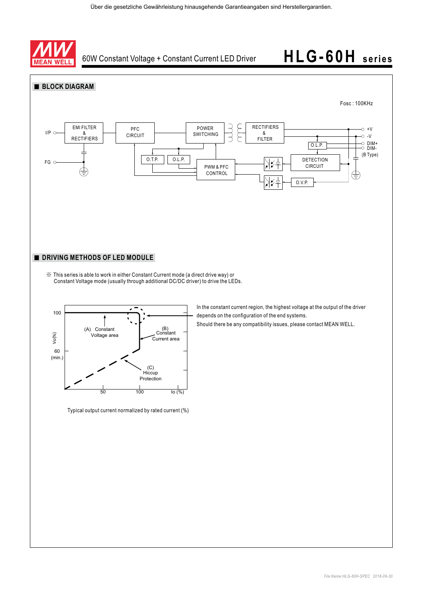





Typical output current normalized by rated current (%)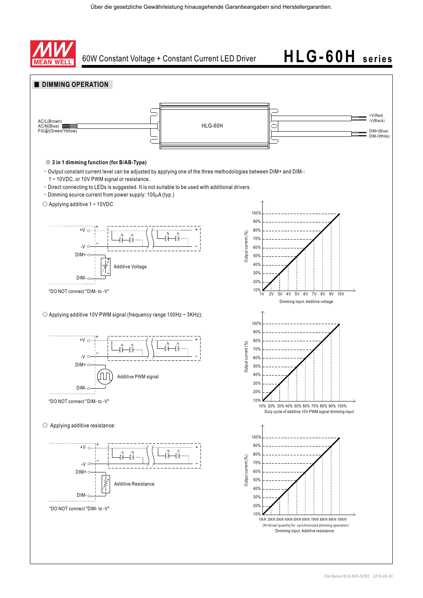



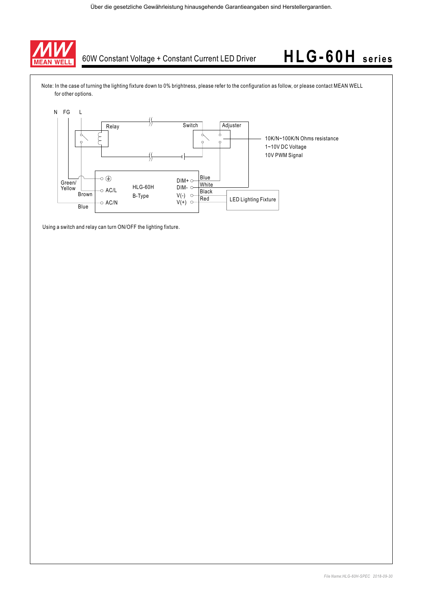

Note: In the case of turning the lighting fixture down to 0% brightness, please refer to the configuration as follow, or please contact MEAN WELL for other options.



Using a switch and relay can turn ON/OFF the lighting fixture.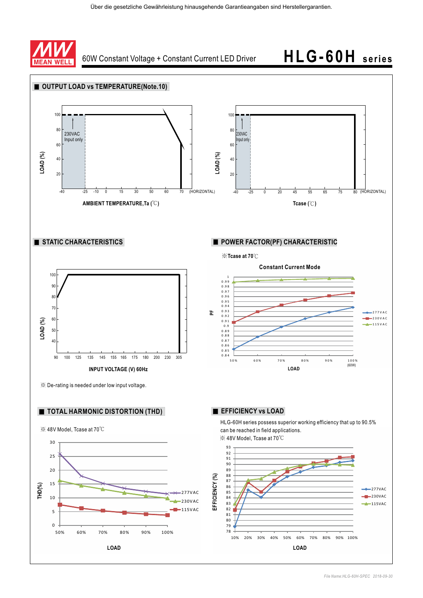

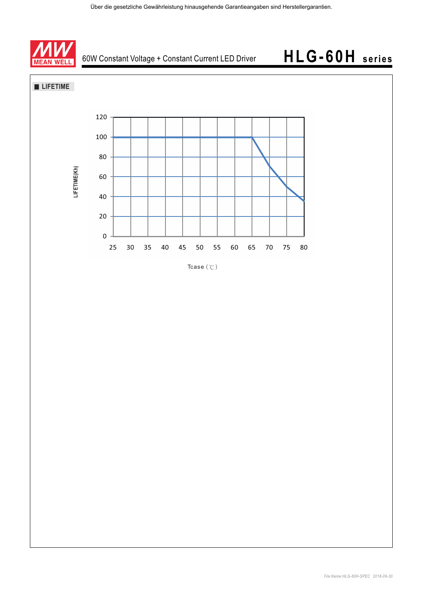





Tcase  $({\degree}C)$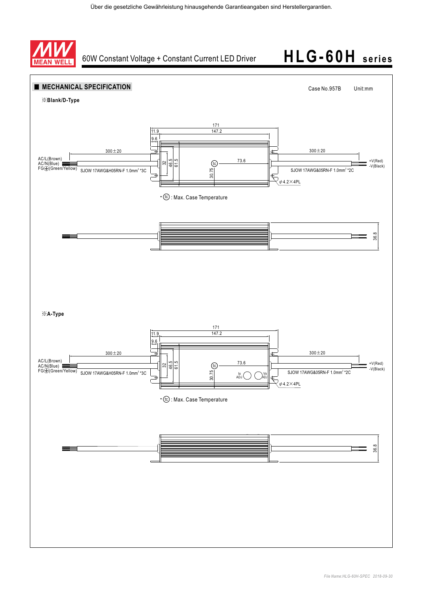

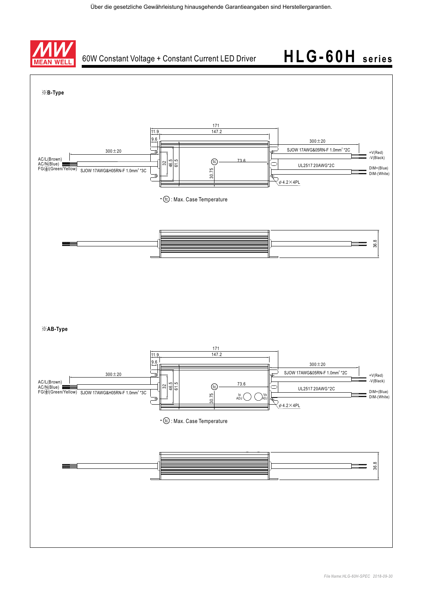